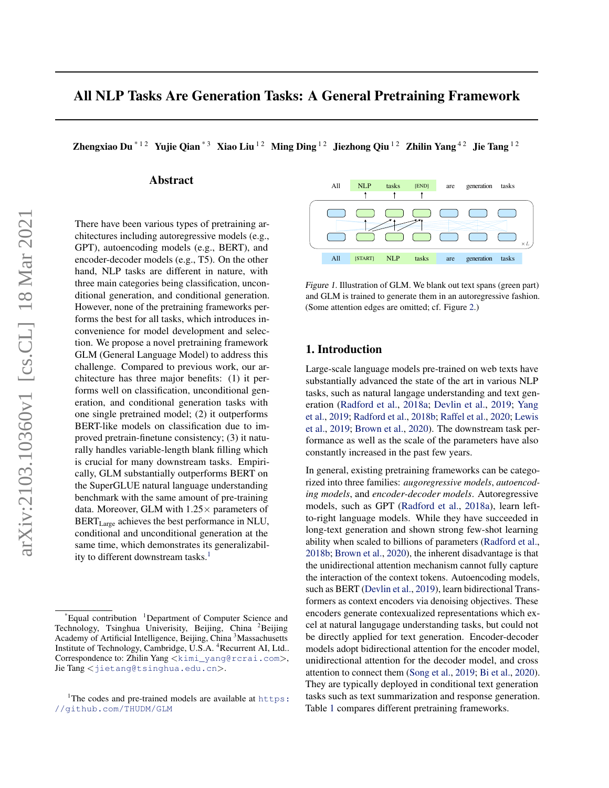<span id="page-0-0"></span>Zhengxiao Du<sup>\*12</sup> Yujie Qian<sup>\*3</sup> Xiao Liu<sup>12</sup> Ming Ding <sup>12</sup> Jiezhong Qiu<sup>12</sup> Zhilin Yang<sup>42</sup> Jie Tang <sup>12</sup>

# Abstract

There have been various types of pretraining architectures including autoregressive models (e.g., GPT), autoencoding models (e.g., BERT), and encoder-decoder models (e.g., T5). On the other hand, NLP tasks are different in nature, with three main categories being classification, unconditional generation, and conditional generation. However, none of the pretraining frameworks performs the best for all tasks, which introduces inconvenience for model development and selection. We propose a novel pretraining framework GLM (General Language Model) to address this challenge. Compared to previous work, our architecture has three major benefits: (1) it performs well on classification, unconditional generation, and conditional generation tasks with one single pretrained model; (2) it outperforms BERT-like models on classification due to improved pretrain-finetune consistency; (3) it naturally handles variable-length blank filling which is crucial for many downstream tasks. Empirically, GLM substantially outperforms BERT on the SuperGLUE natural language understanding benchmark with the same amount of pre-training data. Moreover, GLM with  $1.25 \times$  parameters of BERT<sub>Large</sub> achieves the best performance in NLU, conditional and unconditional generation at the same time, which demonstrates its generalizability to different downstream tasks.<sup>1</sup>





# 1. Introduction

Large-scale language models pre-trained on web texts have substantially advanced the state of the art in various NLP tasks, such as natural langage understanding and text generation [\(Radford et al.,](#page-9-0) [2018a;](#page-9-0) [Devlin et al.,](#page-8-0) [2019;](#page-8-0) [Yang](#page-9-0) [et al.,](#page-9-0) [2019;](#page-9-0) [Radford et al.,](#page-9-0) [2018b;](#page-9-0) [Raffel et al.,](#page-9-0) [2020;](#page-9-0) [Lewis](#page-8-0) [et al.,](#page-8-0) [2019;](#page-8-0) [Brown et al.,](#page-8-0) [2020\)](#page-8-0). The downstream task performance as well as the scale of the parameters have also constantly increased in the past few years.

In general, existing pretraining frameworks can be categorized into three families: *augoregressive models*, *autoencoding models*, and *encoder-decoder models*. Autoregressive models, such as GPT [\(Radford et al.,](#page-9-0) [2018a\)](#page-9-0), learn leftto-right language models. While they have succeeded in long-text generation and shown strong few-shot learning ability when scaled to billions of parameters [\(Radford et al.,](#page-9-0) [2018b;](#page-9-0) [Brown et al.,](#page-8-0) [2020\)](#page-8-0), the inherent disadvantage is that the unidirectional attention mechanism cannot fully capture the interaction of the context tokens. Autoencoding models, such as BERT [\(Devlin et al.,](#page-8-0) [2019\)](#page-8-0), learn bidirectional Transformers as context encoders via denoising objectives. These encoders generate contexualized representations which excel at natural langugage understanding tasks, but could not be directly applied for text generation. Encoder-decoder models adopt bidirectional attention for the encoder model, unidirectional attention for the decoder model, and cross attention to connect them [\(Song et al.,](#page-9-0) [2019;](#page-9-0) [Bi et al.,](#page-8-0) [2020\)](#page-8-0). They are typically deployed in conditional text generation tasks such as text summarization and response generation. Table [1](#page-1-0) compares different pretraining frameworks.

Equal contribution <sup>1</sup>Department of Computer Science and Technology, Tsinghua Univerisity, Beijing, China <sup>2</sup>Beijing Academy of Artificial Intelligence, Beijing, China <sup>3</sup>Massachusetts Institute of Technology, Cambridge, U.S.A. <sup>4</sup>Recurrent AI, Ltd.. Correspondence to: Zhilin Yang <[kimi\\_yang@rcrai.com](kimi_yang@rcrai.com)>, Jie Tang <<jietang@tsinghua.edu.cn>>.

<sup>&</sup>lt;sup>1</sup>The codes and pre-trained models are available at  $https:$ [//github.com/THUDM/GLM](https://github.com/THUDM/GLM)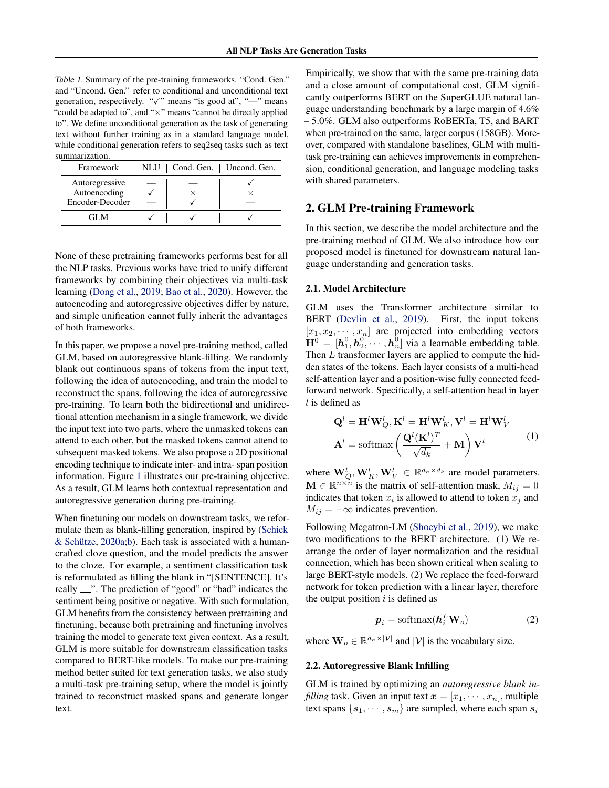<span id="page-1-0"></span>Table 1. Summary of the pre-training frameworks. "Cond. Gen." and "Uncond. Gen." refer to conditional and unconditional text generation, respectively. " $\checkmark$ " means "is good at", "—" means "could be adapted to", and " $\times$ " means "cannot be directly applied to". We define unconditional generation as the task of generating text without further training as in a standard language model, while conditional generation refers to seq2seq tasks such as text summarization.

| Framework       | <b>NLU</b> | Cond. Gen.   Uncond. Gen. |
|-----------------|------------|---------------------------|
| Autoregressive  |            |                           |
| Autoencoding    |            |                           |
| Encoder-Decoder |            |                           |
|                 |            |                           |

None of these pretraining frameworks performs best for all the NLP tasks. Previous works have tried to unify different frameworks by combining their objectives via multi-task learning [\(Dong et al.,](#page-8-0) [2019;](#page-8-0) [Bao et al.,](#page-8-0) [2020\)](#page-8-0). However, the autoencoding and autoregressive objectives differ by nature, and simple unification cannot fully inherit the advantages of both frameworks.

In this paper, we propose a novel pre-training method, called GLM, based on autoregressive blank-filling. We randomly blank out continuous spans of tokens from the input text, following the idea of autoencoding, and train the model to reconstruct the spans, following the idea of autoregressive pre-training. To learn both the bidirectional and unidirectional attention mechanism in a single framework, we divide the input text into two parts, where the unmasked tokens can attend to each other, but the masked tokens cannot attend to subsequent masked tokens. We also propose a 2D positional encoding technique to indicate inter- and intra- span position information. Figure [1](#page-0-0) illustrates our pre-training objective. As a result, GLM learns both contextual representation and autoregressive generation during pre-training.

When finetuning our models on downstream tasks, we reformulate them as blank-filling generation, inspired by [\(Schick](#page-9-0) & Schütze,  $2020a;b$ . Each task is associated with a humancrafted cloze question, and the model predicts the answer to the cloze. For example, a sentiment classification task is reformulated as filling the blank in "[SENTENCE]. It's really  $\cdots$ ". The prediction of "good" or "bad" indicates the sentiment being positive or negative. With such formulation, GLM benefits from the consistency between pretraining and finetuning, because both pretraining and finetuning involves training the model to generate text given context. As a result, GLM is more suitable for downstream classification tasks compared to BERT-like models. To make our pre-training method better suited for text generation tasks, we also study a multi-task pre-training setup, where the model is jointly trained to reconstruct masked spans and generate longer text.

Empirically, we show that with the same pre-training data and a close amount of computational cost, GLM significantly outperforms BERT on the SuperGLUE natural language understanding benchmark by a large margin of 4.6% – 5.0%. GLM also outperforms RoBERTa, T5, and BART when pre-trained on the same, larger corpus (158GB). Moreover, compared with standalone baselines, GLM with multitask pre-training can achieves improvements in comprehension, conditional generation, and language modeling tasks with shared parameters.

# 2. GLM Pre-training Framework

In this section, we describe the model architecture and the pre-training method of GLM. We also introduce how our proposed model is finetuned for downstream natural language understanding and generation tasks.

#### 2.1. Model Architecture

GLM uses the Transformer architecture similar to BERT [\(Devlin et al.,](#page-8-0) [2019\)](#page-8-0). First, the input tokens  $[x_1, x_2, \dots, x_n]$  are projected into embedding vectors  $\mathbf{H}^0 = [\boldsymbol{h}_1^0, \boldsymbol{h}_2^0, \cdots, \boldsymbol{h}_n^0]$  via a learnable embedding table. Then L transformer layers are applied to compute the hidden states of the tokens. Each layer consists of a multi-head self-attention layer and a position-wise fully connected feedforward network. Specifically, a self-attention head in layer  $l$  is defined as

$$
\mathbf{Q}^{l} = \mathbf{H}^{l} \mathbf{W}_{Q}^{l}, \mathbf{K}^{l} = \mathbf{H}^{l} \mathbf{W}_{K}^{l}, \mathbf{V}^{l} = \mathbf{H}^{l} \mathbf{W}_{V}^{l}
$$

$$
\mathbf{A}^{l} = \text{softmax}\left(\frac{\mathbf{Q}^{l}(\mathbf{K}^{l})^{T}}{\sqrt{d_{k}}} + \mathbf{M}\right) \mathbf{V}^{l}
$$
(1)

where  $\mathbf{W}_Q^l, \mathbf{W}_K^l, \mathbf{W}_V^l \in \mathbb{R}^{d_h \times d_k}$  are model parameters.  $\mathbf{M} \in \mathbb{R}^{n \times n}$  is the matrix of self-attention mask,  $M_{ij} = 0$ indicates that token  $x_i$  is allowed to attend to token  $x_j$  and  $M_{ij} = -\infty$  indicates prevention.

Following Megatron-LM [\(Shoeybi et al.,](#page-9-0) [2019\)](#page-9-0), we make two modifications to the BERT architecture. (1) We rearrange the order of layer normalization and the residual connection, which has been shown critical when scaling to large BERT-style models. (2) We replace the feed-forward network for token prediction with a linear layer, therefore the output position  $i$  is defined as

$$
\boldsymbol{p}_i = \text{softmax}(\boldsymbol{h}_i^L \mathbf{W}_o) \tag{2}
$$

where  $\mathbf{W}_o \in \mathbb{R}^{d_h \times |\mathcal{V}|}$  and  $|\mathcal{V}|$  is the vocabulary size.

#### 2.2. Autoregressive Blank Infilling

GLM is trained by optimizing an *autoregressive blank infilling* task. Given an input text  $x = [x_1, \dots, x_n]$ , multiple text spans  $\{s_1, \dots, s_m\}$  are sampled, where each span  $s_i$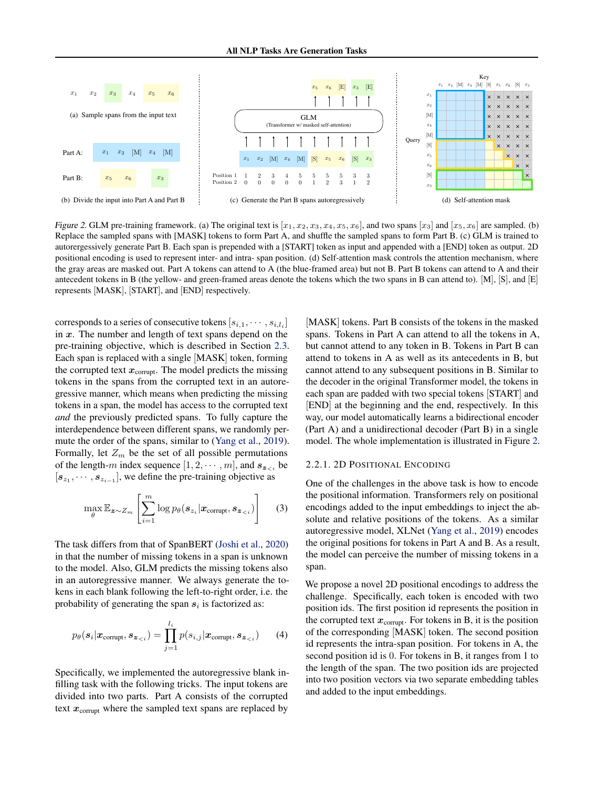$\overline{\phantom{0}}$ 

<span id="page-2-0"></span>

Figure 2. GLM pre-training framework. (a) The original text is  $[x_1, x_2, x_3, x_4, x_5, x_6]$ , and two spans  $[x_3]$  and  $[x_5, x_6]$  are sampled. ( Replace the sampled spans with [MASK] tokens to form Part A, and shuffle the sampled spans to form Part B. (c) GLM is trained to autorergessively generate Part B. Each span is prepended with a [START] token as input and appended with a [END] token as output. 2D positional encoding is used to represent inter- and intra- span position. (d) Self-attention mask controls the attention mechanism, where the gray areas are masked out. Part A tokens can attend to A (the blue-framed area) but not B. Part B tokens can attend to A and their antecedent tokens in B (the yellow- and green-framed areas denote the tokens which the two spans in B can attend to). [M], [S], and [E] Position 2 0 0 0 1 2 3 1 2 3 1 2 3 1 2 3 1 2 3 1 2 3 1 2 3 1 2 3 1 2 3 1 2 3 1 2 3 1 2 3 1 2 3 1 2 3 1 2 3 1 2 Figure 2. GLM pre-training framework. (a) The original text is  $[x_1, x_2, x_3, x_4, x_5, x_6]$ , and two spans  $[x_3]$  and  $[x_5, x_6]$  are sampled. (b) x6 represents [MASK], [START], and [END] respectively.

the corrupted text  $x_{\text{corrupt}}$ . The model predicts the missing tokens in the spans from the corrupted text in an autorecorresponds to a series of consecutive tokens  $[s_{i,1}, \dots, s_{i,l_i}]$  [MASK] tokens. in  $x$ . The number and length of text spans depend on the spans. Tokens in pre-training objective, which is described in Section [2.3.](#page-3-0) but cannot atten n Each span is replaced with a single [MASK] token, forming gressive manner, which means when predicting the missing tokens in a span, the model has access to the corrupted text *and* the previously predicted spans. To fully capture the interdependence between different spans, we randomly permute the order of the spans, similar to [\(Yang et al.,](#page-9-0) [2019\)](#page-9-0). Formally, let  $Z_m$  be the set of all possible permutations of the length-m index sequence  $[1, 2, \cdots, m]$ , and  $s_{z \lt i}$  be  $[s_{z_1}, \cdots, s_{z_{i-1}}]$ , we define the pre-training objective as

$$
\max_{\theta} \mathbb{E}_{\mathbf{z} \sim Z_m} \left[ \sum_{i=1}^m \log p_{\theta}(\mathbf{s}_{z_i} | \mathbf{x}_{\text{corrupt}}, \mathbf{s}_{\mathbf{z}_{(3)
$$

The task differs from that of SpanBERT [\(Joshi et al.,](#page-8-0) [2020\)](#page-8-0) in that the number of missing tokens in a span is unknown to the model. Also, GLM predicts the missing tokens also in an autoregressive manner. We always generate the tokens in each blank following the left-to-right order, i.e. the probability of generating the span  $s_i$  is factorized as:

$$
p_{\theta}(\boldsymbol{s}_i|\boldsymbol{x}_{\text{corrupt}},\boldsymbol{s}_{\boldsymbol{z}_{
$$

Specifically, we implemented the autoregressive blank infilling task with the following tricks. The input tokens are divided into two parts. Part A consists of the corrupted text  $x_{\text{corrupt}}$  where the sampled text spans are replaced by

 $x_1, \dots, x_{i,l_i}$  [MASK] tokens. Part B consists of the tokens in the masked spans. Tokens in Part A can attend to all the tokens in A, but cannot attend to any token in B. Tokens in Part B can attend to tokens in A as well as its antecedents in B, but cannot attend to any subsequent positions in B. Similar to the decoder in the original Transformer model, the tokens in each span are padded with two special tokens [START] and [END] at the beginning and the end, respectively. In this way, our model automatically learns a bidirectional encoder (Part A) and a unidirectional decoder (Part B) in a single model. The whole implementation is illustrated in Figure 2.

 $\mathcal{M}(\mathcal{M})$  and  $\mathcal{M}(\mathcal{M})$  and  $\mathcal{M}(\mathcal{M})$  and  $\mathcal{M}(\mathcal{M})$  and  $\mathcal{M}(\mathcal{M})$ 

#### 2.2.1. 2D POSITIONAL ENCODING

One of the challenges in the above task is how to encode the positional information. Transformers rely on positional encodings added to the input embeddings to inject the absolute and relative positions of the tokens. As a similar autoregressive model, XLNet [\(Yang et al.,](#page-9-0) [2019\)](#page-9-0) encodes the original positions for tokens in Part A and B. As a result, the model can perceive the number of missing tokens in a span.

We propose a novel 2D positional encodings to address the challenge. Specifically, each token is encoded with two position ids. The first position id represents the position in the corrupted text  $x_{\text{corrupt}}$ . For tokens in B, it is the position of the corresponding [MASK] token. The second position id represents the intra-span position. For tokens in A, the second position id is 0. For tokens in B, it ranges from 1 to the length of the span. The two position ids are projected into two position vectors via two separate embedding tables and added to the input embeddings.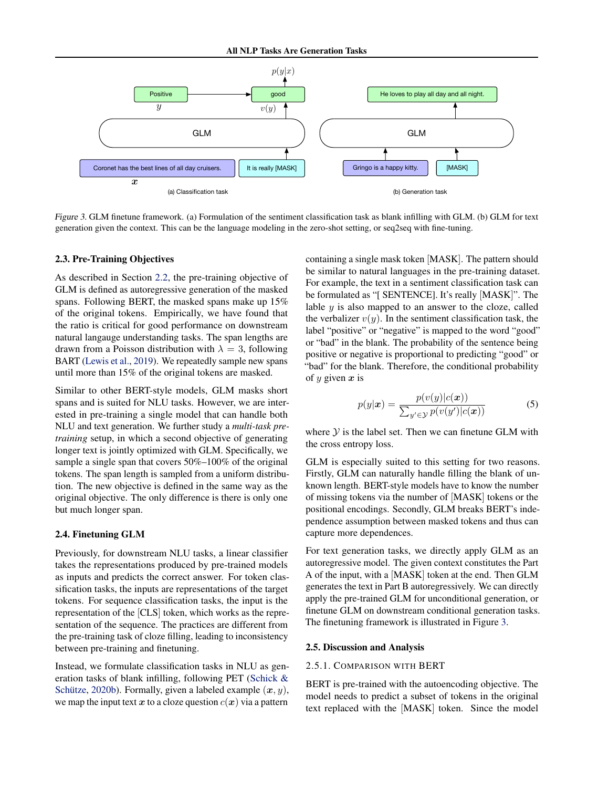<span id="page-3-0"></span>

Figure 3. GLM finetune framework. (a) Formulation of the sentiment classification task as blank infilling with GLM. (b) GLM for text generation given the context. This can be the language modeling in the zero-shot setting, or seq2seq with fine-tuning.

#### 2.3. Pre-Training Objectives

As described in Section [2.2,](#page-1-0) the pre-training objective of GLM is defined as autoregressive generation of the masked spans. Following BERT, the masked spans make up 15% of the original tokens. Empirically, we have found that the ratio is critical for good performance on downstream natural langauge understanding tasks. The span lengths are drawn from a Poisson distribution with  $\lambda = 3$ , following BART [\(Lewis et al.,](#page-8-0) [2019\)](#page-8-0). We repeatedly sample new spans until more than 15% of the original tokens are masked.

Similar to other BERT-style models, GLM masks short spans and is suited for NLU tasks. However, we are interested in pre-training a single model that can handle both NLU and text generation. We further study a *multi-task pretraining* setup, in which a second objective of generating longer text is jointly optimized with GLM. Specifically, we sample a single span that covers 50%–100% of the original tokens. The span length is sampled from a uniform distribution. The new objective is defined in the same way as the original objective. The only difference is there is only one but much longer span.

## 2.4. Finetuning GLM

Previously, for downstream NLU tasks, a linear classifier takes the representations produced by pre-trained models as inputs and predicts the correct answer. For token classification tasks, the inputs are representations of the target tokens. For sequence classification tasks, the input is the representation of the [CLS] token, which works as the representation of the sequence. The practices are different from the pre-training task of cloze filling, leading to inconsistency between pre-training and finetuning.

Instead, we formulate classification tasks in NLU as generation tasks of blank infilling, following PET [\(Schick &](#page-9-0) Schütze, [2020b\)](#page-9-0). Formally, given a labeled example  $(x, y)$ , we map the input text x to a cloze question  $c(x)$  via a pattern

containing a single mask token [MASK]. The pattern should be similar to natural languages in the pre-training dataset. For example, the text in a sentiment classification task can be formulated as "[ SENTENCE]. It's really [MASK]". The lable  $y$  is also mapped to an answer to the cloze, called the verbalizer  $v(y)$ . In the sentiment classification task, the label "positive" or "negative" is mapped to the word "good" or "bad" in the blank. The probability of the sentence being positive or negative is proportional to predicting "good" or "bad" for the blank. Therefore, the conditional probability of  $y$  given  $x$  is

$$
p(y|\boldsymbol{x}) = \frac{p(v(y)|c(\boldsymbol{x}))}{\sum_{y' \in \mathcal{Y}} p(v(y')|c(\boldsymbol{x}))}
$$
(5)

where  $Y$  is the label set. Then we can finetune GLM with the cross entropy loss.

GLM is especially suited to this setting for two reasons. Firstly, GLM can naturally handle filling the blank of unknown length. BERT-style models have to know the number of missing tokens via the number of [MASK] tokens or the positional encodings. Secondly, GLM breaks BERT's independence assumption between masked tokens and thus can capture more dependences.

For text generation tasks, we directly apply GLM as an autoregressive model. The given context constitutes the Part A of the input, with a [MASK] token at the end. Then GLM generates the text in Part B autoregressively. We can directly apply the pre-trained GLM for unconditional generation, or finetune GLM on downstream conditional generation tasks. The finetuning framework is illustrated in Figure 3.

#### 2.5. Discussion and Analysis

#### 2.5.1. COMPARISON WITH BERT

BERT is pre-trained with the autoencoding objective. The model needs to predict a subset of tokens in the original text replaced with the [MASK] token. Since the model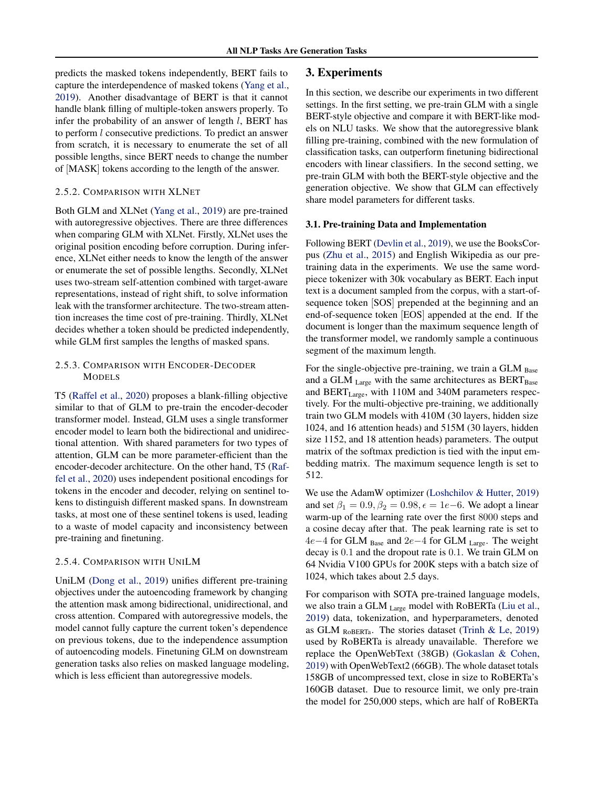predicts the masked tokens independently, BERT fails to capture the interdependence of masked tokens [\(Yang et al.,](#page-9-0) [2019\)](#page-9-0). Another disadvantage of BERT is that it cannot handle blank filling of multiple-token answers properly. To infer the probability of an answer of length  $l$ , BERT has to perform l consecutive predictions. To predict an answer from scratch, it is necessary to enumerate the set of all possible lengths, since BERT needs to change the number of [MASK] tokens according to the length of the answer.

## 2.5.2. COMPARISON WITH XLNET

Both GLM and XLNet [\(Yang et al.,](#page-9-0) [2019\)](#page-9-0) are pre-trained with autoregressive objectives. There are three differences when comparing GLM with XLNet. Firstly, XLNet uses the original position encoding before corruption. During inference, XLNet either needs to know the length of the answer or enumerate the set of possible lengths. Secondly, XLNet uses two-stream self-attention combined with target-aware representations, instead of right shift, to solve information leak with the transformer architecture. The two-stream attention increases the time cost of pre-training. Thirdly, XLNet decides whether a token should be predicted independently, while GLM first samples the lengths of masked spans.

# 2.5.3. COMPARISON WITH ENCODER-DECODER MODELS

T5 [\(Raffel et al.,](#page-9-0) [2020\)](#page-9-0) proposes a blank-filling objective similar to that of GLM to pre-train the encoder-decoder transformer model. Instead, GLM uses a single transformer encoder model to learn both the bidirectional and unidirectional attention. With shared parameters for two types of attention, GLM can be more parameter-efficient than the encoder-decoder architecture. On the other hand, T5 [\(Raf](#page-9-0)[fel et al.,](#page-9-0) [2020\)](#page-9-0) uses independent positional encodings for tokens in the encoder and decoder, relying on sentinel tokens to distinguish different masked spans. In downstream tasks, at most one of these sentinel tokens is used, leading to a waste of model capacity and inconsistency between pre-training and finetuning.

#### 2.5.4. COMPARISON WITH UNILM

UniLM [\(Dong et al.,](#page-8-0) [2019\)](#page-8-0) unifies different pre-training objectives under the autoencoding framework by changing the attention mask among bidirectional, unidirectional, and cross attention. Compared with autoregressive models, the model cannot fully capture the current token's dependence on previous tokens, due to the independence assumption of autoencoding models. Finetuning GLM on downstream generation tasks also relies on masked language modeling, which is less efficient than autoregressive models.

## 3. Experiments

In this section, we describe our experiments in two different settings. In the first setting, we pre-train GLM with a single BERT-style objective and compare it with BERT-like models on NLU tasks. We show that the autoregressive blank filling pre-training, combined with the new formulation of classification tasks, can outperform finetuning bidirectional encoders with linear classifiers. In the second setting, we pre-train GLM with both the BERT-style objective and the generation objective. We show that GLM can effectively share model parameters for different tasks.

## 3.1. Pre-training Data and Implementation

Following BERT [\(Devlin et al.,](#page-8-0) [2019\)](#page-8-0), we use the BooksCorpus [\(Zhu et al.,](#page-10-0) [2015\)](#page-10-0) and English Wikipedia as our pretraining data in the experiments. We use the same wordpiece tokenizer with 30k vocabulary as BERT. Each input text is a document sampled from the corpus, with a start-ofsequence token [SOS] prepended at the beginning and an end-of-sequence token [EOS] appended at the end. If the document is longer than the maximum sequence length of the transformer model, we randomly sample a continuous segment of the maximum length.

For the single-objective pre-training, we train a  $GLM_{Base}$ and a GLM  $_{\text{Large}}$  with the same architectures as BERT<sub>Base</sub> and BERT<sub>Large</sub>, with 110M and 340M parameters respectively. For the multi-objective pre-training, we additionally train two GLM models with 410M (30 layers, hidden size 1024, and 16 attention heads) and 515M (30 layers, hidden size 1152, and 18 attention heads) parameters. The output matrix of the softmax prediction is tied with the input embedding matrix. The maximum sequence length is set to 512.

We use the AdamW optimizer [\(Loshchilov & Hutter,](#page-9-0) [2019\)](#page-9-0) and set  $\beta_1 = 0.9, \beta_2 = 0.98, \epsilon = 1e-6$ . We adopt a linear warm-up of the learning rate over the first 8000 steps and a cosine decay after that. The peak learning rate is set to 4e−4 for GLM  $_{Base}$  and 2e−4 for GLM  $_{Large}$ . The weight decay is 0.1 and the dropout rate is 0.1. We train GLM on 64 Nvidia V100 GPUs for 200K steps with a batch size of 1024, which takes about 2.5 days.

For comparison with SOTA pre-trained language models, we also train a GLM Large model with RoBERTa [\(Liu et al.,](#page-9-0) [2019\)](#page-9-0) data, tokenization, and hyperparameters, denoted as GLM ROBERTA. The stories dataset [\(Trinh & Le,](#page-9-0) [2019\)](#page-9-0) used by RoBERTa is already unavailable. Therefore we replace the OpenWebText (38GB) [\(Gokaslan & Cohen,](#page-8-0) [2019\)](#page-8-0) with OpenWebText2 (66GB). The whole dataset totals 158GB of uncompressed text, close in size to RoBERTa's 160GB dataset. Due to resource limit, we only pre-train the model for 250,000 steps, which are half of RoBERTa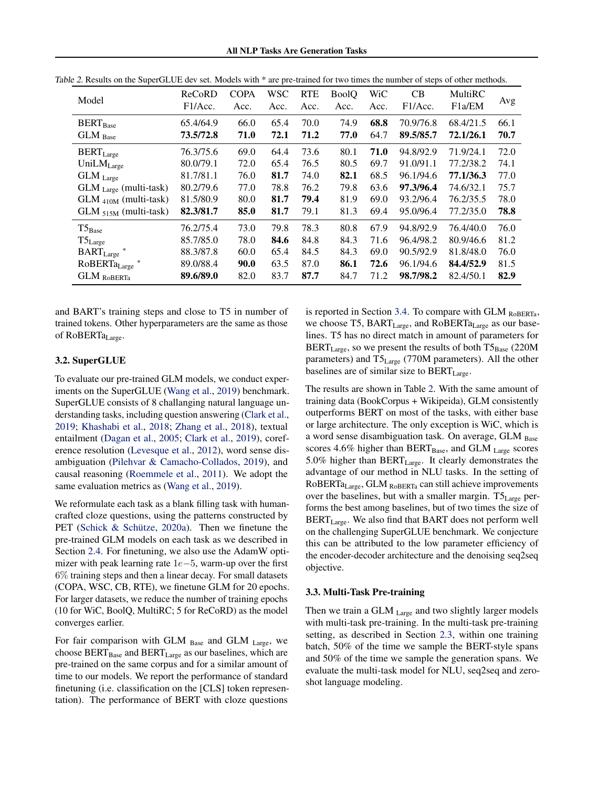| Model                                   | ReCoRD<br>F1/Acc.      | <b>COPA</b><br>Acc. | <b>WSC</b><br>Acc. | <b>RTE</b><br>Acc. | <b>BoolQ</b><br>Acc. | WiC<br>Acc.  | CB<br>F1/Acc.          | MultiRC<br>F <sub>1</sub> a/EM | Avg          |
|-----------------------------------------|------------------------|---------------------|--------------------|--------------------|----------------------|--------------|------------------------|--------------------------------|--------------|
| <b>BERT</b> <sub>Base</sub><br>GLM Base | 65.4/64.9<br>73.5/72.8 | 66.0<br>71.0        | 65.4<br>72.1       | 70.0<br>71.2       | 74.9<br>77.0         | 68.8<br>64.7 | 70.9/76.8<br>89.5/85.7 | 68.4/21.5<br>72.1/26.1         | 66.1<br>70.7 |
| $BERT_{Large}$                          | 76.3/75.6              | 69.0                | 64.4               | 73.6               | 80.1                 | 71.0         | 94.8/92.9              | 71.9/24.1                      | 72.0         |
| UniLMLarge                              | 80.0/79.1              | 72.0                | 65.4               | 76.5               | 80.5                 | 69.7         | 91.0/91.1              | 77.2/38.2                      | 74.1         |
| $GLM$ Large                             | 81.7/81.1              | 76.0                | 81.7               | 74.0               | 82.1                 | 68.5         | 96.1/94.6              | 77.1/36.3                      | 77.0         |
| $GLM$ <sub>Large</sub> (multi-task)     | 80.2/79.6              | 77.0                | 78.8               | 76.2               | 79.8                 | 63.6         | 97.3/96.4              | 74.6/32.1                      | 75.7         |
| $GLM_{410M}$ (multi-task)               | 81.5/80.9              | 80.0                | 81.7               | 79.4               | 81.9                 | 69.0         | 93.2/96.4              | 76.2/35.5                      | 78.0         |
| $GLM_{515M}$ (multi-task)               | 82.3/81.7              | 85.0                | 81.7               | 79.1               | 81.3                 | 69.4         | 95.0/96.4              | 77.2/35.0                      | 78.8         |
| $T5_{Base}$                             | 76.2/75.4              | 73.0                | 79.8               | 78.3               | 80.8                 | 67.9         | 94.8/92.9              | 76.4/40.0                      | 76.0         |
| $T5_{\text{Large}}$                     | 85.7/85.0              | 78.0                | 84.6               | 84.8               | 84.3                 | 71.6         | 96.4/98.2              | 80.9/46.6                      | 81.2         |
| <b>BART</b> <sub>Large</sub>            | 88.3/87.8              | 60.0                | 65.4               | 84.5               | 84.3                 | 69.0         | 90.5/92.9              | 81.8/48.0                      | 76.0         |
| RoBERTa <sub>Large</sub>                | 89.0/88.4              | 90.0                | 63.5               | 87.0               | 86.1                 | 72.6         | 96.1/94.6              | 84.4/52.9                      | 81.5         |
| $GLM$ $_{RoBERTa}$                      | 89.6/89.0              | 82.0                | 83.7               | 87.7               | 84.7                 | 71.2         | 98.7/98.2              | 82.4/50.1                      | 82.9         |

<span id="page-5-0"></span>Table 2. Results on the SuperGLUE dev set. Models with \* are pre-trained for two times the number of steps of other methods.

and BART's training steps and close to T5 in number of trained tokens. Other hyperparameters are the same as those of RoBERTa<sub>Large</sub>.

### 3.2. SuperGLUE

To evaluate our pre-trained GLM models, we conduct experiments on the SuperGLUE [\(Wang et al.,](#page-9-0) [2019\)](#page-9-0) benchmark. SuperGLUE consists of 8 challanging natural language understanding tasks, including question answering [\(Clark et al.,](#page-8-0) [2019;](#page-8-0) [Khashabi et al.,](#page-8-0) [2018;](#page-8-0) [Zhang et al.,](#page-9-0) [2018\)](#page-9-0), textual entailment [\(Dagan et al.,](#page-8-0) [2005;](#page-8-0) [Clark et al.,](#page-8-0) [2019\)](#page-8-0), coreference resolution [\(Levesque et al.,](#page-8-0) [2012\)](#page-8-0), word sense disambiguation [\(Pilehvar & Camacho-Collados,](#page-9-0) [2019\)](#page-9-0), and causal reasoning [\(Roemmele et al.,](#page-9-0) [2011\)](#page-9-0). We adopt the same evaluation metrics as [\(Wang et al.,](#page-9-0) [2019\)](#page-9-0).

We reformulate each task as a blank filling task with humancrafted cloze questions, using the patterns constructed by PET (Schick  $&$  Schütze, [2020a\)](#page-9-0). Then we finetune the pre-trained GLM models on each task as we described in Section [2.4.](#page-3-0) For finetuning, we also use the AdamW optimizer with peak learning rate 1e−5, warm-up over the first 6% training steps and then a linear decay. For small datasets (COPA, WSC, CB, RTE), we finetune GLM for 20 epochs. For larger datasets, we reduce the number of training epochs (10 for WiC, BoolQ, MultiRC; 5 for ReCoRD) as the model converges earlier.

For fair comparison with GLM  $_{Base}$  and GLM  $_{Large}$ , we choose  $BERT_{Base}$  and  $BERT_{Large}$  as our baselines, which are pre-trained on the same corpus and for a similar amount of time to our models. We report the performance of standard finetuning (i.e. classification on the [CLS] token representation). The performance of BERT with cloze questions

is reported in Section [3.4.](#page-6-0) To compare with GLM  $_{\text{RoBERTa}}$ , we choose T5, BART<sub>Large</sub>, and RoBERTa<sub>Large</sub> as our baselines. T5 has no direct match in amount of parameters for  $BERT_{Large}$ , so we present the results of both  $TS_{Base}$  (220M parameters) and T5Large (770M parameters). All the other baselines are of similar size to  $BERT_{Large}$ .

The results are shown in Table 2. With the same amount of training data (BookCorpus + Wikipeida), GLM consistently outperforms BERT on most of the tasks, with either base or large architecture. The only exception is WiC, which is a word sense disambiguation task. On average, GLM Base scores 4.6% higher than  $BERT_{Base}$ , and  $GLM_{Large}$  scores 5.0% higher than BERT<sub>Large</sub>. It clearly demonstrates the advantage of our method in NLU tasks. In the setting of RoBERTaLarge, GLM RoBERTa can still achieve improvements over the baselines, but with a smaller margin.  $T5_{Large}$  performs the best among baselines, but of two times the size of BERT<sub>Large</sub>. We also find that BART does not perform well on the challenging SuperGLUE benchmark. We conjecture this can be attributed to the low parameter efficiency of the encoder-decoder architecture and the denoising seq2seq objective.

## 3.3. Multi-Task Pre-training

Then we train a GLM  $_{\text{Large}}$  and two slightly larger models with multi-task pre-training. In the multi-task pre-training setting, as described in Section [2.3,](#page-3-0) within one training batch, 50% of the time we sample the BERT-style spans and 50% of the time we sample the generation spans. We evaluate the multi-task model for NLU, seq2seq and zeroshot language modeling.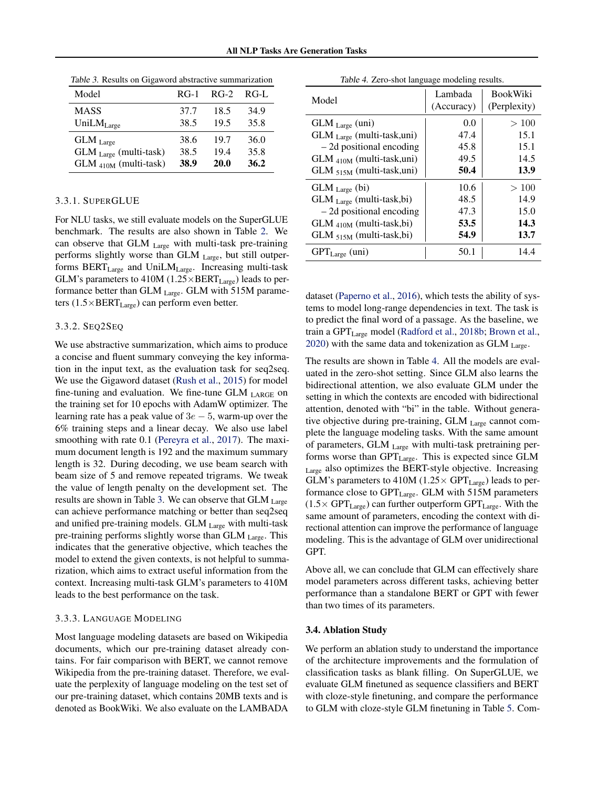| Model                     | $RG-1$ | $RG-2$      | RG-L |
|---------------------------|--------|-------------|------|
| MASS                      | 37.7   | 18.5        | 34.9 |
| UniLMLarge                | 38.5   | 19.5        | 35.8 |
| GLM Large                 | 38.6   | 19.7        | 36.0 |
| $GLM$ Large (multi-task)  | 38.5   | 19.4        | 35.8 |
| $GLM_{410M}$ (multi-task) | 38.9   | <b>20.0</b> | 36.2 |

<span id="page-6-0"></span>Table 3. Results on Gigaword abstractive summarization

## 3.3.1. SUPERGLUE

For NLU tasks, we still evaluate models on the SuperGLUE benchmark. The results are also shown in Table [2.](#page-5-0) We can observe that GLM Large with multi-task pre-training performs slightly worse than GLM Large, but still outperforms BERT<sub>Large</sub> and UniLM<sub>Large</sub>. Increasing multi-task GLM's parameters to 410M ( $1.25 \times BERT_{Large}$ ) leads to performance better than GLM  $_{\text{Large}}$ . GLM with 515M parameters  $(1.5 \times BERT_{Large})$  can perform even better.

## 3.3.2. SEQ2SEQ

We use abstractive summarization, which aims to produce a concise and fluent summary conveying the key information in the input text, as the evaluation task for seq2seq. We use the Gigaword dataset [\(Rush et al.,](#page-9-0) [2015\)](#page-9-0) for model fine-tuning and evaluation. We fine-tune GLM  $_{\text{LARGE}}$  on the training set for 10 epochs with AdamW optimizer. The learning rate has a peak value of  $3e - 5$ , warm-up over the 6% training steps and a linear decay. We also use label smoothing with rate 0.1 [\(Pereyra et al.,](#page-9-0) [2017\)](#page-9-0). The maximum document length is 192 and the maximum summary length is 32. During decoding, we use beam search with beam size of 5 and remove repeated trigrams. We tweak the value of length penalty on the development set. The results are shown in Table 3. We can observe that GLM Large can achieve performance matching or better than seq2seq and unified pre-training models. GLM Large with multi-task pre-training performs slightly worse than GLM Large. This indicates that the generative objective, which teaches the model to extend the given contexts, is not helpful to summarization, which aims to extract useful information from the context. Increasing multi-task GLM's parameters to 410M leads to the best performance on the task.

## 3.3.3. LANGUAGE MODELING

Most language modeling datasets are based on Wikipedia documents, which our pre-training dataset already contains. For fair comparison with BERT, we cannot remove Wikipedia from the pre-training dataset. Therefore, we evaluate the perplexity of language modeling on the test set of our pre-training dataset, which contains 20MB texts and is denoted as BookWiki. We also evaluate on the LAMBADA

| Model                         | Lambada<br>(Accuracy) | <b>BookWiki</b><br>(Perplexity) |
|-------------------------------|-----------------------|---------------------------------|
| $GLM$ Large (uni)             | 0.0                   | >100                            |
| GLM Large (multi-task,uni)    | 47.4                  | 15.1                            |
| $-2d$ positional encoding     | 45.8                  | 15.1                            |
| $GLM_{410M}$ (multi-task,uni) | 49.5                  | 14.5                            |
| $GLM_{515M}$ (multi-task,uni) | 50.4                  | 13.9                            |
| $GLM_{Large}$ (bi)            | 10.6                  | >100                            |
| GLM Large (multi-task,bi)     | 48.5                  | 14.9                            |
| $-2d$ positional encoding     | 47.3                  | 15.0                            |
| $GLM_{410M}$ (multi-task,bi)  | 53.5                  | 14.3                            |
| GLM 515M (multi-task,bi)      | 54.9                  | 13.7                            |
| $GPT_{Large}$ (uni)           | 50.1                  | 14.4                            |

| Table 4. Zero-shot language modeling results. |  |  |
|-----------------------------------------------|--|--|
|                                               |  |  |

dataset [\(Paperno et al.,](#page-9-0) [2016\)](#page-9-0), which tests the ability of systems to model long-range dependencies in text. The task is to predict the final word of a passage. As the baseline, we train a GPT<sub>Large</sub> model [\(Radford et al.,](#page-9-0) [2018b;](#page-9-0) [Brown et al.,](#page-8-0) [2020\)](#page-8-0) with the same data and tokenization as  $GLM$   $L =$ 

The results are shown in Table 4. All the models are evaluated in the zero-shot setting. Since GLM also learns the bidirectional attention, we also evaluate GLM under the setting in which the contexts are encoded with bidirectional attention, denoted with "bi" in the table. Without generative objective during pre-training, GLM Large cannot complete the language modeling tasks. With the same amount of parameters, GLM Large with multi-task pretraining performs worse than GPT<sub>Large</sub>. This is expected since GLM Large also optimizes the BERT-style objective. Increasing GLM's parameters to 410M (1.25 $\times$  GPT<sub>Large</sub>) leads to performance close to GPT<sub>Large</sub>. GLM with 515M parameters  $(1.5 \times GPT_{Large})$  can further outperform  $GPT_{Large}$ . With the same amount of parameters, encoding the context with directional attention can improve the performance of language modeling. This is the advantage of GLM over unidirectional GPT.

Above all, we can conclude that GLM can effectively share model parameters across different tasks, achieving better performance than a standalone BERT or GPT with fewer than two times of its parameters.

### 3.4. Ablation Study

We perform an ablation study to understand the importance of the architecture improvements and the formulation of classification tasks as blank filling. On SuperGLUE, we evaluate GLM finetuned as sequence classifiers and BERT with cloze-style finetuning, and compare the performance to GLM with cloze-style GLM finetuning in Table [5.](#page-7-0) Com-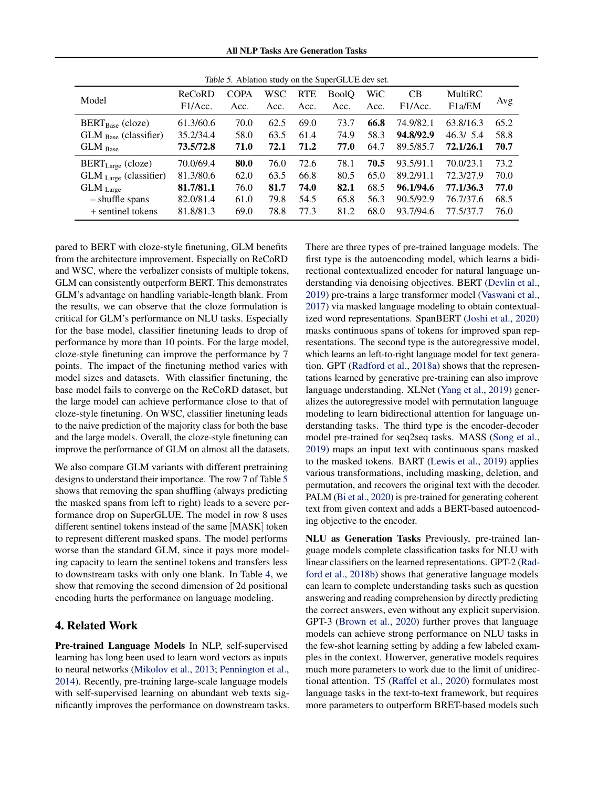All NLP Tasks Are Generation Tasks

<span id="page-7-0"></span>

| Table 5. Ablation study on the SuperGLUE dev set. |                   |                     |             |                    |                      |             |                      |                                |      |
|---------------------------------------------------|-------------------|---------------------|-------------|--------------------|----------------------|-------------|----------------------|--------------------------------|------|
| Model                                             | ReCoRD<br>F1/Acc. | <b>COPA</b><br>Acc. | WSC<br>Acc. | <b>RTE</b><br>Acc. | <b>BoolO</b><br>Acc. | WiC<br>Acc. | <b>CB</b><br>F1/Acc. | MultiRC<br>F <sub>1</sub> a/EM | Avg  |
| $BERT_{Base}$ (cloze)                             | 61.3/60.6         | 70.0                | 62.5        | 69.0               | 73.7                 | 66.8        | 74.9/82.1            | 63.8/16.3                      | 65.2 |
| $GLM_{Base}$ (classifier)                         | 35.2/34.4         | 58.0                | 63.5        | 61.4               | 74.9                 | 58.3        | 94.8/92.9            | 46.3/5.4                       | 58.8 |
| $GLM$ Base                                        | 73.5/72.8         | 71.0                | 72.1        | 71.2               | 77.0                 | 64.7        | 89.5/85.7            | 72.1/26.1                      | 70.7 |
| $BERT_{Large}$ (cloze)                            | 70.0/69.4         | 80.0                | 76.0        | 72.6               | 78.1                 | 70.5        | 93.5/91.1            | 70.0/23.1                      | 73.2 |
| GLM Large (classifier)                            | 81.3/80.6         | 62.0                | 63.5        | 66.8               | 80.5                 | 65.0        | 89.2/91.1            | 72.3/27.9                      | 70.0 |
| $GLM$ Large                                       | 81.7/81.1         | 76.0                | 81.7        | 74.0               | 82.1                 | 68.5        | 96.1/94.6            | 77.1/36.3                      | 77.0 |
| - shuffle spans                                   | 82.0/81.4         | 61.0                | 79.8        | 54.5               | 65.8                 | 56.3        | 90.5/92.9            | 76.7/37.6                      | 68.5 |
| + sentinel tokens                                 | 81.8/81.3         | 69.0                | 78.8        | 77.3               | 81.2                 | 68.0        | 93.7/94.6            | 77.5/37.7                      | 76.0 |

pared to BERT with cloze-style finetuning, GLM benefits from the architecture improvement. Especially on ReCoRD and WSC, where the verbalizer consists of multiple tokens, GLM can consistently outperform BERT. This demonstrates GLM's advantage on handling variable-length blank. From the results, we can observe that the cloze formulation is critical for GLM's performance on NLU tasks. Especially for the base model, classifier finetuning leads to drop of performance by more than 10 points. For the large model, cloze-style finetuning can improve the performance by 7 points. The impact of the finetuning method varies with model sizes and datasets. With classifier finetuning, the base model fails to converge on the ReCoRD dataset, but the large model can achieve performance close to that of cloze-style finetuning. On WSC, classifier finetuning leads to the naive prediction of the majority class for both the base and the large models. Overall, the cloze-style finetuning can improve the performance of GLM on almost all the datasets.

We also compare GLM variants with different pretraining designs to understand their importance. The row 7 of Table 5 shows that removing the span shuffling (always predicting the masked spans from left to right) leads to a severe performance drop on SuperGLUE. The model in row 8 uses different sentinel tokens instead of the same [MASK] token to represent different masked spans. The model performs worse than the standard GLM, since it pays more modeling capacity to learn the sentinel tokens and transfers less to downstream tasks with only one blank. In Table [4,](#page-6-0) we show that removing the second dimension of 2d positional encoding hurts the performance on language modeling.

# 4. Related Work

Pre-trained Language Models In NLP, self-supervised learning has long been used to learn word vectors as inputs to neural networks [\(Mikolov et al.,](#page-9-0) [2013;](#page-9-0) [Pennington et al.,](#page-9-0) [2014\)](#page-9-0). Recently, pre-training large-scale language models with self-supervised learning on abundant web texts significantly improves the performance on downstream tasks. There are three types of pre-trained language models. The first type is the autoencoding model, which learns a bidirectional contextualized encoder for natural language understanding via denoising objectives. BERT [\(Devlin et al.,](#page-8-0) [2019\)](#page-8-0) pre-trains a large transformer model [\(Vaswani et al.,](#page-9-0) [2017\)](#page-9-0) via masked language modeling to obtain contextualized word representations. SpanBERT [\(Joshi et al.,](#page-8-0) [2020\)](#page-8-0) masks continuous spans of tokens for improved span representations. The second type is the autoregressive model, which learns an left-to-right language model for text generation. GPT [\(Radford et al.,](#page-9-0) [2018a\)](#page-9-0) shows that the representations learned by generative pre-training can also improve language understanding. XLNet [\(Yang et al.,](#page-9-0) [2019\)](#page-9-0) generalizes the autoregressive model with permutation language modeling to learn bidirectional attention for language understanding tasks. The third type is the encoder-decoder model pre-trained for seq2seq tasks. MASS [\(Song et al.,](#page-9-0) [2019\)](#page-9-0) maps an input text with continuous spans masked to the masked tokens. BART [\(Lewis et al.,](#page-8-0) [2019\)](#page-8-0) applies various transformations, including masking, deletion, and permutation, and recovers the original text with the decoder. PALM [\(Bi et al.,](#page-8-0) [2020\)](#page-8-0) is pre-trained for generating coherent text from given context and adds a BERT-based autoencoding objective to the encoder.

NLU as Generation Tasks Previously, pre-trained language models complete classification tasks for NLU with linear classifiers on the learned representations. GPT-2 [\(Rad](#page-9-0)[ford et al.,](#page-9-0) [2018b\)](#page-9-0) shows that generative language models can learn to complete understanding tasks such as question answering and reading comprehension by directly predicting the correct answers, even without any explicit supervision. GPT-3 [\(Brown et al.,](#page-8-0) [2020\)](#page-8-0) further proves that language models can achieve strong performance on NLU tasks in the few-shot learning setting by adding a few labeled examples in the context. Howerver, generative models requires much more parameters to work due to the limit of unidirectional attention. T5 [\(Raffel et al.,](#page-9-0) [2020\)](#page-9-0) formulates most language tasks in the text-to-text framework, but requires more parameters to outperform BRET-based models such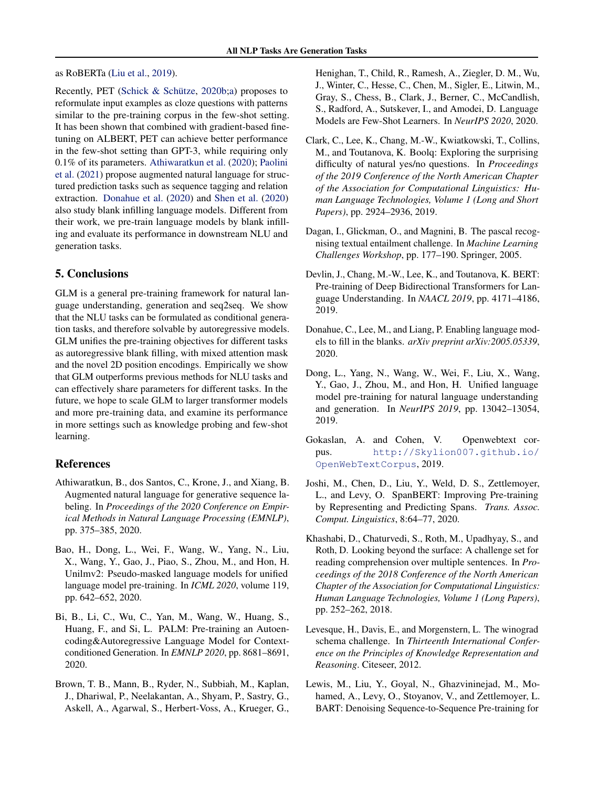## <span id="page-8-0"></span>as RoBERTa [\(Liu et al.,](#page-9-0) [2019\)](#page-9-0).

Recently, PET (Schick & Schütze,  $2020b$ ;a) proposes to reformulate input examples as cloze questions with patterns similar to the pre-training corpus in the few-shot setting. It has been shown that combined with gradient-based finetuning on ALBERT, PET can achieve better performance in the few-shot setting than GPT-3, while requiring only 0.1% of its parameters. Athiwaratkun et al. (2020); [Paolini](#page-9-0) [et al.](#page-9-0) [\(2021\)](#page-9-0) propose augmented natural language for structured prediction tasks such as sequence tagging and relation extraction. Donahue et al. (2020) and [Shen et al.](#page-9-0) [\(2020\)](#page-9-0) also study blank infilling language models. Different from their work, we pre-train language models by blank infilling and evaluate its performance in downstream NLU and generation tasks.

# 5. Conclusions

GLM is a general pre-training framework for natural language understanding, generation and seq2seq. We show that the NLU tasks can be formulated as conditional generation tasks, and therefore solvable by autoregressive models. GLM unifies the pre-training objectives for different tasks as autoregressive blank filling, with mixed attention mask and the novel 2D position encodings. Empirically we show that GLM outperforms previous methods for NLU tasks and can effectively share parameters for different tasks. In the future, we hope to scale GLM to larger transformer models and more pre-training data, and examine its performance in more settings such as knowledge probing and few-shot learning.

# References

- Athiwaratkun, B., dos Santos, C., Krone, J., and Xiang, B. Augmented natural language for generative sequence labeling. In *Proceedings of the 2020 Conference on Empirical Methods in Natural Language Processing (EMNLP)*, pp. 375–385, 2020.
- Bao, H., Dong, L., Wei, F., Wang, W., Yang, N., Liu, X., Wang, Y., Gao, J., Piao, S., Zhou, M., and Hon, H. Unilmv2: Pseudo-masked language models for unified language model pre-training. In *ICML 2020*, volume 119, pp. 642–652, 2020.
- Bi, B., Li, C., Wu, C., Yan, M., Wang, W., Huang, S., Huang, F., and Si, L. PALM: Pre-training an Autoencoding&Autoregressive Language Model for Contextconditioned Generation. In *EMNLP 2020*, pp. 8681–8691, 2020.
- Brown, T. B., Mann, B., Ryder, N., Subbiah, M., Kaplan, J., Dhariwal, P., Neelakantan, A., Shyam, P., Sastry, G., Askell, A., Agarwal, S., Herbert-Voss, A., Krueger, G.,

Henighan, T., Child, R., Ramesh, A., Ziegler, D. M., Wu, J., Winter, C., Hesse, C., Chen, M., Sigler, E., Litwin, M., Gray, S., Chess, B., Clark, J., Berner, C., McCandlish, S., Radford, A., Sutskever, I., and Amodei, D. Language Models are Few-Shot Learners. In *NeurIPS 2020*, 2020.

- Clark, C., Lee, K., Chang, M.-W., Kwiatkowski, T., Collins, M., and Toutanova, K. Boolq: Exploring the surprising difficulty of natural yes/no questions. In *Proceedings of the 2019 Conference of the North American Chapter of the Association for Computational Linguistics: Human Language Technologies, Volume 1 (Long and Short Papers)*, pp. 2924–2936, 2019.
- Dagan, I., Glickman, O., and Magnini, B. The pascal recognising textual entailment challenge. In *Machine Learning Challenges Workshop*, pp. 177–190. Springer, 2005.
- Devlin, J., Chang, M.-W., Lee, K., and Toutanova, K. BERT: Pre-training of Deep Bidirectional Transformers for Language Understanding. In *NAACL 2019*, pp. 4171–4186, 2019.
- Donahue, C., Lee, M., and Liang, P. Enabling language models to fill in the blanks. *arXiv preprint arXiv:2005.05339*, 2020.
- Dong, L., Yang, N., Wang, W., Wei, F., Liu, X., Wang, Y., Gao, J., Zhou, M., and Hon, H. Unified language model pre-training for natural language understanding and generation. In *NeurIPS 2019*, pp. 13042–13054, 2019.
- Gokaslan, A. and Cohen, V. Openwebtext corpus. [http://Skylion007.github.io/](http://Skylion007.github.io/OpenWebTextCorpus) [OpenWebTextCorpus](http://Skylion007.github.io/OpenWebTextCorpus), 2019.
- Joshi, M., Chen, D., Liu, Y., Weld, D. S., Zettlemoyer, L., and Levy, O. SpanBERT: Improving Pre-training by Representing and Predicting Spans. *Trans. Assoc. Comput. Linguistics*, 8:64–77, 2020.
- Khashabi, D., Chaturvedi, S., Roth, M., Upadhyay, S., and Roth, D. Looking beyond the surface: A challenge set for reading comprehension over multiple sentences. In *Proceedings of the 2018 Conference of the North American Chapter of the Association for Computational Linguistics: Human Language Technologies, Volume 1 (Long Papers)*, pp. 252–262, 2018.
- Levesque, H., Davis, E., and Morgenstern, L. The winograd schema challenge. In *Thirteenth International Conference on the Principles of Knowledge Representation and Reasoning*. Citeseer, 2012.
- Lewis, M., Liu, Y., Goyal, N., Ghazvininejad, M., Mohamed, A., Levy, O., Stoyanov, V., and Zettlemoyer, L. BART: Denoising Sequence-to-Sequence Pre-training for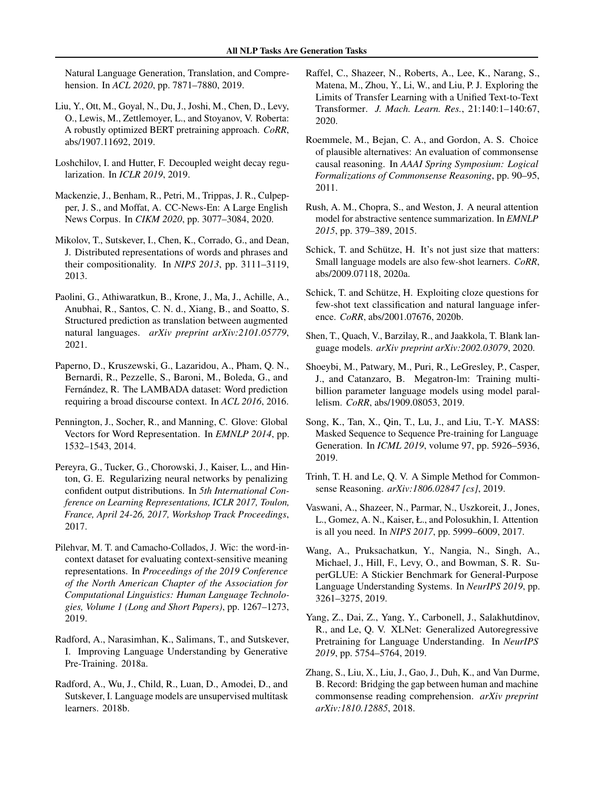<span id="page-9-0"></span>Natural Language Generation, Translation, and Comprehension. In *ACL 2020*, pp. 7871–7880, 2019.

- Liu, Y., Ott, M., Goyal, N., Du, J., Joshi, M., Chen, D., Levy, O., Lewis, M., Zettlemoyer, L., and Stoyanov, V. Roberta: A robustly optimized BERT pretraining approach. *CoRR*, abs/1907.11692, 2019.
- Loshchilov, I. and Hutter, F. Decoupled weight decay regularization. In *ICLR 2019*, 2019.
- Mackenzie, J., Benham, R., Petri, M., Trippas, J. R., Culpepper, J. S., and Moffat, A. CC-News-En: A Large English News Corpus. In *CIKM 2020*, pp. 3077–3084, 2020.
- Mikolov, T., Sutskever, I., Chen, K., Corrado, G., and Dean, J. Distributed representations of words and phrases and their compositionality. In *NIPS 2013*, pp. 3111–3119, 2013.
- Paolini, G., Athiwaratkun, B., Krone, J., Ma, J., Achille, A., Anubhai, R., Santos, C. N. d., Xiang, B., and Soatto, S. Structured prediction as translation between augmented natural languages. *arXiv preprint arXiv:2101.05779*, 2021.
- Paperno, D., Kruszewski, G., Lazaridou, A., Pham, Q. N., Bernardi, R., Pezzelle, S., Baroni, M., Boleda, G., and Fernández, R. The LAMBADA dataset: Word prediction requiring a broad discourse context. In *ACL 2016*, 2016.
- Pennington, J., Socher, R., and Manning, C. Glove: Global Vectors for Word Representation. In *EMNLP 2014*, pp. 1532–1543, 2014.
- Pereyra, G., Tucker, G., Chorowski, J., Kaiser, L., and Hinton, G. E. Regularizing neural networks by penalizing confident output distributions. In *5th International Conference on Learning Representations, ICLR 2017, Toulon, France, April 24-26, 2017, Workshop Track Proceedings*, 2017.
- Pilehvar, M. T. and Camacho-Collados, J. Wic: the word-incontext dataset for evaluating context-sensitive meaning representations. In *Proceedings of the 2019 Conference of the North American Chapter of the Association for Computational Linguistics: Human Language Technologies, Volume 1 (Long and Short Papers)*, pp. 1267–1273, 2019.
- Radford, A., Narasimhan, K., Salimans, T., and Sutskever, I. Improving Language Understanding by Generative Pre-Training. 2018a.
- Radford, A., Wu, J., Child, R., Luan, D., Amodei, D., and Sutskever, I. Language models are unsupervised multitask learners. 2018b.
- Raffel, C., Shazeer, N., Roberts, A., Lee, K., Narang, S., Matena, M., Zhou, Y., Li, W., and Liu, P. J. Exploring the Limits of Transfer Learning with a Unified Text-to-Text Transformer. *J. Mach. Learn. Res.*, 21:140:1–140:67, 2020.
- Roemmele, M., Bejan, C. A., and Gordon, A. S. Choice of plausible alternatives: An evaluation of commonsense causal reasoning. In *AAAI Spring Symposium: Logical Formalizations of Commonsense Reasoning*, pp. 90–95, 2011.
- Rush, A. M., Chopra, S., and Weston, J. A neural attention model for abstractive sentence summarization. In *EMNLP 2015*, pp. 379–389, 2015.
- Schick, T. and Schütze, H. It's not just size that matters: Small language models are also few-shot learners. *CoRR*, abs/2009.07118, 2020a.
- Schick, T. and Schütze, H. Exploiting cloze questions for few-shot text classification and natural language inference. *CoRR*, abs/2001.07676, 2020b.
- Shen, T., Quach, V., Barzilay, R., and Jaakkola, T. Blank language models. *arXiv preprint arXiv:2002.03079*, 2020.
- Shoeybi, M., Patwary, M., Puri, R., LeGresley, P., Casper, J., and Catanzaro, B. Megatron-lm: Training multibillion parameter language models using model parallelism. *CoRR*, abs/1909.08053, 2019.
- Song, K., Tan, X., Qin, T., Lu, J., and Liu, T.-Y. MASS: Masked Sequence to Sequence Pre-training for Language Generation. In *ICML 2019*, volume 97, pp. 5926–5936, 2019.
- Trinh, T. H. and Le, Q. V. A Simple Method for Commonsense Reasoning. *arXiv:1806.02847 [cs]*, 2019.
- Vaswani, A., Shazeer, N., Parmar, N., Uszkoreit, J., Jones, L., Gomez, A. N., Kaiser, Ł., and Polosukhin, I. Attention is all you need. In *NIPS 2017*, pp. 5999–6009, 2017.
- Wang, A., Pruksachatkun, Y., Nangia, N., Singh, A., Michael, J., Hill, F., Levy, O., and Bowman, S. R. SuperGLUE: A Stickier Benchmark for General-Purpose Language Understanding Systems. In *NeurIPS 2019*, pp. 3261–3275, 2019.
- Yang, Z., Dai, Z., Yang, Y., Carbonell, J., Salakhutdinov, R., and Le, Q. V. XLNet: Generalized Autoregressive Pretraining for Language Understanding. In *NeurIPS 2019*, pp. 5754–5764, 2019.
- Zhang, S., Liu, X., Liu, J., Gao, J., Duh, K., and Van Durme, B. Record: Bridging the gap between human and machine commonsense reading comprehension. *arXiv preprint arXiv:1810.12885*, 2018.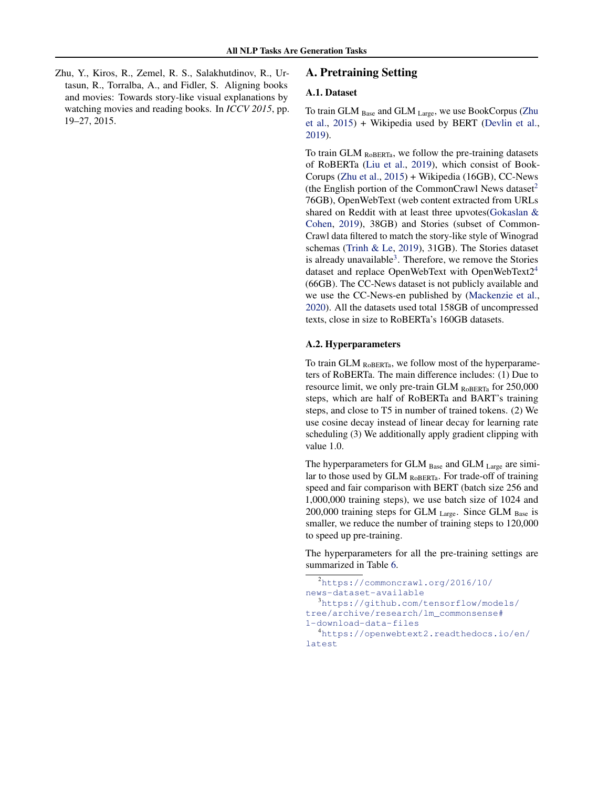<span id="page-10-0"></span>Zhu, Y., Kiros, R., Zemel, R. S., Salakhutdinov, R., Urtasun, R., Torralba, A., and Fidler, S. Aligning books and movies: Towards story-like visual explanations by watching movies and reading books. In *ICCV 2015*, pp. 19–27, 2015.

# A. Pretraining Setting

# A.1. Dataset

To train GLM Base and GLM Large, we use BookCorpus (Zhu et al., 2015) + Wikipedia used by BERT [\(Devlin et al.,](#page-8-0) [2019\)](#page-8-0).

To train GLM RoBERTa, we follow the pre-training datasets of RoBERTa [\(Liu et al.,](#page-9-0) [2019\)](#page-9-0), which consist of Book-Corups (Zhu et al., 2015) + Wikipedia (16GB), CC-News (the English portion of the CommonCrawl News dataset<sup>2</sup>) 76GB), OpenWebText (web content extracted from URLs shared on Reddit with at least three upvotes[\(Gokaslan &](#page-8-0) [Cohen,](#page-8-0) [2019\)](#page-8-0), 38GB) and Stories (subset of Common-Crawl data filtered to match the story-like style of Winograd schemas [\(Trinh & Le,](#page-9-0) [2019\)](#page-9-0), 31GB). The Stories dataset is already unavailable<sup>3</sup>. Therefore, we remove the Stories dataset and replace OpenWebText with OpenWebText2<sup>4</sup> (66GB). The CC-News dataset is not publicly available and we use the CC-News-en published by [\(Mackenzie et al.,](#page-9-0) [2020\)](#page-9-0). All the datasets used total 158GB of uncompressed texts, close in size to RoBERTa's 160GB datasets.

## A.2. Hyperparameters

To train GLM  $_{RoBERTa}$ , we follow most of the hyperparameters of RoBERTa. The main difference includes: (1) Due to resource limit, we only pre-train GLM ROBERTa for 250,000 steps, which are half of RoBERTa and BART's training steps, and close to T5 in number of trained tokens. (2) We use cosine decay instead of linear decay for learning rate scheduling (3) We additionally apply gradient clipping with value 1.0.

The hyperparameters for GLM  $_{Base}$  and GLM  $_{Large}$  are similar to those used by GLM ROBERTa. For trade-off of training speed and fair comparison with BERT (batch size 256 and 1,000,000 training steps), we use batch size of 1024 and 200,000 training steps for GLM  $_{\text{Large}}$ . Since GLM  $_{\text{Base}}$  is smaller, we reduce the number of training steps to 120,000 to speed up pre-training.

The hyperparameters for all the pre-training settings are summarized in Table [6.](#page-11-0)

```
2https://commoncrawl.org/2016/10/
news-dataset-available
  3https://github.com/tensorflow/models/
tree/archive/research/lm_commonsense#
1-download-data-files
  4https://openwebtext2.readthedocs.io/en/
latest
```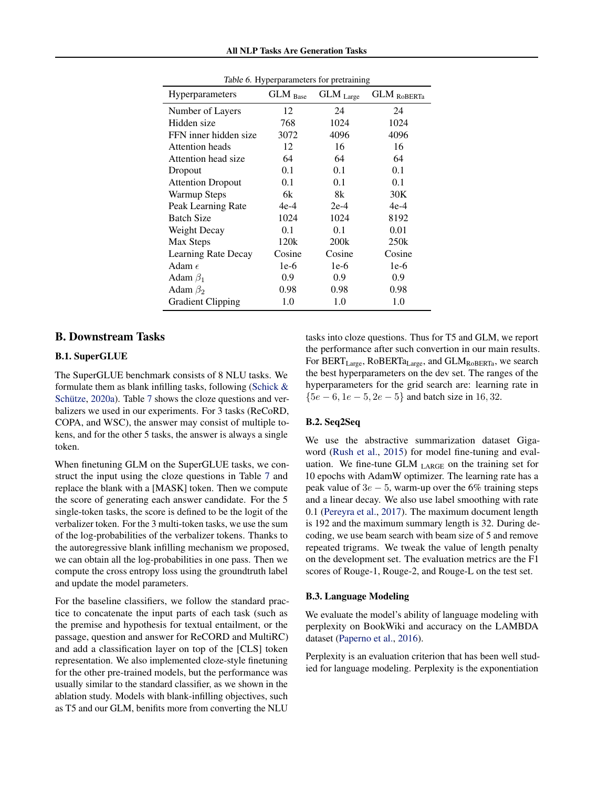<span id="page-11-0"></span>

| Hyperparameters          | ╯ェ<br>x<br>GLM Base | GLM Large        | c<br><b>GLM</b> ROBERTa |
|--------------------------|---------------------|------------------|-------------------------|
| Number of Layers         | 12                  | 24               | 24                      |
| Hidden size              | 768                 | 1024             | 1024                    |
| FFN inner hidden size    | 3072                | 4096             | 4096                    |
| <b>Attention</b> heads   | 12                  | 16               | 16                      |
| Attention head size      | 64                  | 64               | 64                      |
| Dropout                  | 0.1                 | 0.1              | 0.1                     |
| <b>Attention Dropout</b> | 0.1                 | 0.1              | 0.1                     |
| Warmup Steps             | 6k                  | 8k               | 30K                     |
| Peak Learning Rate       | 4e-4                | $2e-4$           | $4e-4$                  |
| <b>Batch Size</b>        | 1024                | 1024             | 8192                    |
| Weight Decay             | 0.1                 | 0.1              | 0.01                    |
| Max Steps                | 120k                | 200 <sub>k</sub> | 250k                    |
| Learning Rate Decay      | Cosine              | Cosine           | Cosine                  |
| Adam $\epsilon$          | 1e-6                | 1e-6             | $1e-6$                  |
| Adam $\beta_1$           | 0.9                 | 0.9              | 0.9                     |
| Adam $\beta_2$           | 0.98                | 0.98             | 0.98                    |
| <b>Gradient Clipping</b> | 1.0                 | 1.0              | 1.0                     |

Table 6. Hyperparameters for pretraining

# B. Downstream Tasks

# B.1. SuperGLUE

The SuperGLUE benchmark consists of 8 NLU tasks. We formulate them as blank infilling tasks, following [\(Schick &](#page-9-0) Schütze,  $2020a$ ). Table [7](#page-12-0) shows the cloze questions and verbalizers we used in our experiments. For 3 tasks (ReCoRD, COPA, and WSC), the answer may consist of multiple tokens, and for the other 5 tasks, the answer is always a single token.

When finetuning GLM on the SuperGLUE tasks, we construct the input using the cloze questions in Table [7](#page-12-0) and replace the blank with a [MASK] token. Then we compute the score of generating each answer candidate. For the 5 single-token tasks, the score is defined to be the logit of the verbalizer token. For the 3 multi-token tasks, we use the sum of the log-probabilities of the verbalizer tokens. Thanks to the autoregressive blank infilling mechanism we proposed, we can obtain all the log-probabilities in one pass. Then we compute the cross entropy loss using the groundtruth label and update the model parameters.

For the baseline classifiers, we follow the standard practice to concatenate the input parts of each task (such as the premise and hypothesis for textual entailment, or the passage, question and answer for ReCORD and MultiRC) and add a classification layer on top of the [CLS] token representation. We also implemented cloze-style finetuning for the other pre-trained models, but the performance was usually similar to the standard classifier, as we shown in the ablation study. Models with blank-infilling objectives, such as T5 and our GLM, benifits more from converting the NLU

tasks into cloze questions. Thus for T5 and GLM, we report the performance after such convertion in our main results. For BERT<sub>Large</sub>, RoBERTa<sub>Large</sub>, and GLM<sub>RoBERTa</sub>, we search the best hyperparameters on the dev set. The ranges of the hyperparameters for the grid search are: learning rate in  ${5e-6, 1e-5, 2e-5}$  and batch size in 16, 32.

## B.2. Seq2Seq

We use the abstractive summarization dataset Gigaword [\(Rush et al.,](#page-9-0) [2015\)](#page-9-0) for model fine-tuning and evaluation. We fine-tune GLM  $_{LARGE}$  on the training set for 10 epochs with AdamW optimizer. The learning rate has a peak value of  $3e - 5$ , warm-up over the 6% training steps and a linear decay. We also use label smoothing with rate 0.1 [\(Pereyra et al.,](#page-9-0) [2017\)](#page-9-0). The maximum document length is 192 and the maximum summary length is 32. During decoding, we use beam search with beam size of 5 and remove repeated trigrams. We tweak the value of length penalty on the development set. The evaluation metrics are the F1 scores of Rouge-1, Rouge-2, and Rouge-L on the test set.

#### B.3. Language Modeling

We evaluate the model's ability of language modeling with perplexity on BookWiki and accuracy on the LAMBDA dataset [\(Paperno et al.,](#page-9-0) [2016\)](#page-9-0).

Perplexity is an evaluation criterion that has been well studied for language modeling. Perplexity is the exponentiation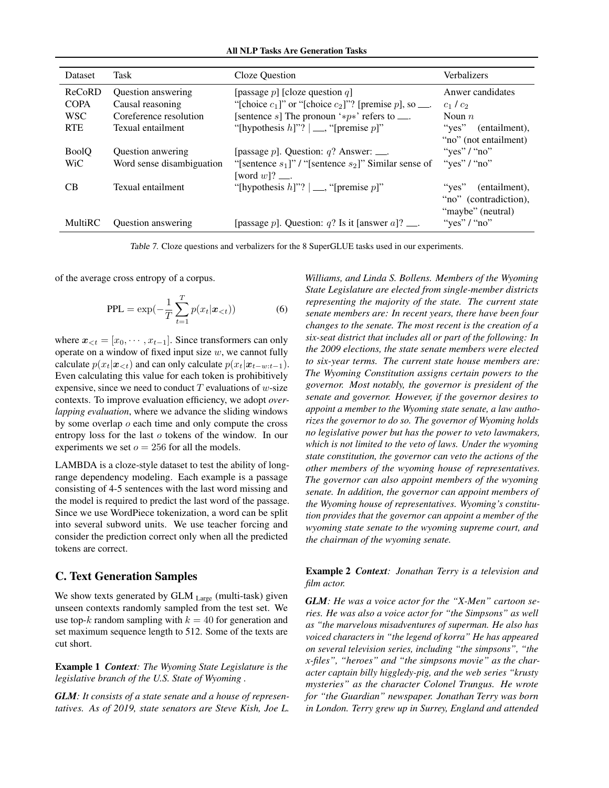All NLP Tasks Are Generation Tasks

<span id="page-12-0"></span>

| <b>Dataset</b> | <b>Task</b>               | Cloze Question                                             | Verbalizers                |
|----------------|---------------------------|------------------------------------------------------------|----------------------------|
| ReCoRD         | Question answering        | [passage p] [cloze question q]                             | Anwer candidates           |
| <b>COPA</b>    | Causal reasoning          | "[choice $c_1$ ]" or "[choice $c_2$ ]"? [premise p], so    | $c_1/c_2$                  |
| <b>WSC</b>     | Coreference resolution    | [sentence s] The pronoun '* $p$ *' refers to               | Noun $n$                   |
| <b>RTE</b>     | Texual entailment         | "[hypothesis $h$ ]"? $  \_\_$ , "[premise $p$ ]"           | " $ves$ "<br>(entailment), |
|                |                           |                                                            | "no" (not entailment)      |
| <b>BoolO</b>   | <b>Ouestion anwering</b>  | [passage p]. Question: $q$ ? Answer: ___.                  | "yes" $/$ "no"             |
| WiC            | Word sense disambiguation | "[sentence $s_1$ ]" / "[sentence $s_2$ ]" Similar sense of | "yes" / "no"               |
|                |                           | [word $w$ ]? $\_\_$                                        |                            |
| CВ             | Texual entailment         | "[hypothesis $h$ ]"? $  \_\_$ , "[premise $p$ ]"           | " $ves$ "<br>(entailment), |
|                |                           |                                                            | "no" (contradiction),      |
|                |                           |                                                            | "maybe" (neutral)          |
| MultiRC        | <b>Ouestion</b> answering | [passage p]. Question: q? Is it [answer a]? $\_\_$ .       | "yes" / "no"               |

Table 7. Cloze questions and verbalizers for the 8 SuperGLUE tasks used in our experiments.

of the average cross entropy of a corpus.

$$
PPL = \exp(-\frac{1}{T} \sum_{t=1}^{T} p(x_t | \mathbf{x}_{< t}))
$$
\n(6)

where  $x_{\leq t} = [x_0, \dots, x_{t-1}]$ . Since transformers can only operate on a window of fixed input size  $w$ , we cannot fully calculate  $p(x_t|\mathbf{x}_{<};t)$  and can only calculate  $p(x_t|\mathbf{x}_{t-w:t-1})$ . Even calculating this value for each token is prohibitively expensive, since we need to conduct  $T$  evaluations of  $w$ -size contexts. To improve evaluation efficiency, we adopt *overlapping evaluation*, where we advance the sliding windows by some overlap o each time and only compute the cross entropy loss for the last o tokens of the window. In our experiments we set  $o = 256$  for all the models.

LAMBDA is a cloze-style dataset to test the ability of longrange dependency modeling. Each example is a passage consisting of 4-5 sentences with the last word missing and the model is required to predict the last word of the passage. Since we use WordPiece tokenization, a word can be split into several subword units. We use teacher forcing and consider the prediction correct only when all the predicted tokens are correct.

# C. Text Generation Samples

We show texts generated by GLM Large (multi-task) given unseen contexts randomly sampled from the test set. We use top-k random sampling with  $k = 40$  for generation and set maximum sequence length to 512. Some of the texts are cut short.

Example 1 *Context: The Wyoming State Legislature is the legislative branch of the U.S. State of Wyoming .*

*GLM: It consists of a state senate and a house of representatives. As of 2019, state senators are Steve Kish, Joe L.* *Williams, and Linda S. Bollens. Members of the Wyoming State Legislature are elected from single-member districts representing the majority of the state. The current state senate members are: In recent years, there have been four changes to the senate. The most recent is the creation of a six-seat district that includes all or part of the following: In the 2009 elections, the state senate members were elected to six-year terms. The current state house members are: The Wyoming Constitution assigns certain powers to the governor. Most notably, the governor is president of the senate and governor. However, if the governor desires to appoint a member to the Wyoming state senate, a law authorizes the governor to do so. The governor of Wyoming holds no legislative power but has the power to veto lawmakers, which is not limited to the veto of laws. Under the wyoming state constitution, the governor can veto the actions of the other members of the wyoming house of representatives. The governor can also appoint members of the wyoming senate. In addition, the governor can appoint members of the Wyoming house of representatives. Wyoming's constitution provides that the governor can appoint a member of the wyoming state senate to the wyoming supreme court, and the chairman of the wyoming senate.*

Example 2 *Context: Jonathan Terry is a television and film actor.*

*GLM: He was a voice actor for the "X-Men" cartoon series. He was also a voice actor for "the Simpsons" as well as "the marvelous misadventures of superman. He also has voiced characters in "the legend of korra" He has appeared on several television series, including "the simpsons", "the x-files", "heroes" and "the simpsons movie" as the character captain billy higgledy-pig, and the web series "krusty mysteries" as the character Colonel Trungus. He wrote for "the Guardian" newspaper. Jonathan Terry was born in London. Terry grew up in Surrey, England and attended*